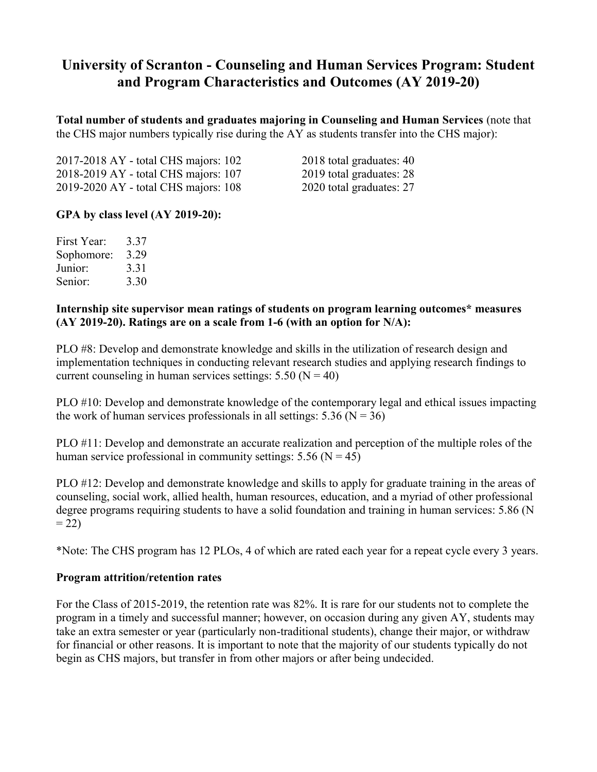# **University of Scranton - Counseling and Human Services Program: Student and Program Characteristics and Outcomes (AY 2019-20)**

**Total number of students and graduates majoring in Counseling and Human Services** (note that the CHS major numbers typically rise during the AY as students transfer into the CHS major):

2017-2018 AY - total CHS majors: 102 2018 total graduates: 40 2018-2019 AY - total CHS majors: 107 2019 total graduates: 28 2019-2020 AY - total CHS majors: 108 2020 total graduates: 27

# **GPA by class level (AY 2019-20):**

| First Year: | 3.37 |
|-------------|------|
| Sophomore:  | 3.29 |
| Junior:     | 3.31 |
| Senior:     | 3.30 |

#### **Internship site supervisor mean ratings of students on program learning outcomes\* measures (AY 2019-20). Ratings are on a scale from 1-6 (with an option for N/A):**

PLO #8: Develop and demonstrate knowledge and skills in the utilization of research design and implementation techniques in conducting relevant research studies and applying research findings to current counseling in human services settings:  $5.50$  (N = 40)

PLO #10: Develop and demonstrate knowledge of the contemporary legal and ethical issues impacting the work of human services professionals in all settings:  $5.36$  (N = 36)

PLO #11: Develop and demonstrate an accurate realization and perception of the multiple roles of the human service professional in community settings:  $5.56$  (N = 45)

PLO #12: Develop and demonstrate knowledge and skills to apply for graduate training in the areas of counseling, social work, allied health, human resources, education, and a myriad of other professional degree programs requiring students to have a solid foundation and training in human services: 5.86 (N  $= 22$ 

\*Note: The CHS program has 12 PLOs, 4 of which are rated each year for a repeat cycle every 3 years.

#### **Program attrition/retention rates**

For the Class of 2015-2019, the retention rate was 82%. It is rare for our students not to complete the program in a timely and successful manner; however, on occasion during any given AY, students may take an extra semester or year (particularly non-traditional students), change their major, or withdraw for financial or other reasons. It is important to note that the majority of our students typically do not begin as CHS majors, but transfer in from other majors or after being undecided.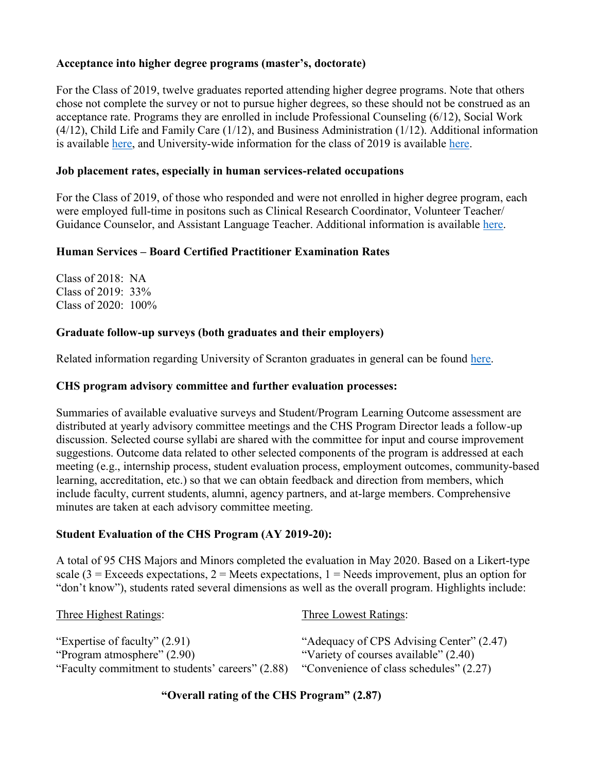# **Acceptance into higher degree programs (master's, doctorate)**

For the Class of 2019, twelve graduates reported attending higher degree programs. Note that others chose not complete the survey or not to pursue higher degrees, so these should not be construed as an acceptance rate. Programs they are enrolled in include Professional Counseling (6/12), Social Work (4/12), Child Life and Family Care (1/12), and Business Administration (1/12). Additional information is available [here,](https://www.scranton.edu/studentlife/studentaffairs/careers/sub-pages/placement-summaries/grad-school/gradschool-2015-2019.pdf) and University-wide information for the class of 2019 is available [here.](https://www.scranton.edu/studentlife/studentaffairs/careers/sub-pages/followup-surveys/2019-undergraduate-fds-report.pdf)

## **Job placement rates, especially in human services-related occupations**

For the Class of 2019, of those who responded and were not enrolled in higher degree program, each were employed full-time in positons such as Clinical Research Coordinator, Volunteer Teacher/ Guidance Counselor, and Assistant Language Teacher. Additional information is available [here.](https://www.scranton.edu/studentlife/studentaffairs/careers/sub-pages/placement-summaries/employment/2019/counseling-and-human-services.pdf)

## **Human Services – Board Certified Practitioner Examination Rates**

Class of 2018: NA Class of 2019: 33% Class of 2020: 100%

## **Graduate follow-up surveys (both graduates and their employers)**

Related information regarding University of Scranton graduates in general can be found [here.](https://www.scranton.edu/studentlife/studentaffairs/careers/sub-pages/followup-surveys/student-outcomes.shtml)

## **CHS program advisory committee and further evaluation processes:**

Summaries of available evaluative surveys and Student/Program Learning Outcome assessment are distributed at yearly advisory committee meetings and the CHS Program Director leads a follow-up discussion. Selected course syllabi are shared with the committee for input and course improvement suggestions. Outcome data related to other selected components of the program is addressed at each meeting (e.g., internship process, student evaluation process, employment outcomes, community-based learning, accreditation, etc.) so that we can obtain feedback and direction from members, which include faculty, current students, alumni, agency partners, and at-large members. Comprehensive minutes are taken at each advisory committee meeting.

# **Student Evaluation of the CHS Program (AY 2019-20):**

A total of 95 CHS Majors and Minors completed the evaluation in May 2020. Based on a Likert-type scale (3 = Exceeds expectations, 2 = Meets expectations, 1 = Needs improvement, plus an option for "don't know"), students rated several dimensions as well as the overall program. Highlights include:

| <b>Three Highest Ratings:</b>                                  | Three Lowest Ratings:                                                             |
|----------------------------------------------------------------|-----------------------------------------------------------------------------------|
| "Expertise of faculty" $(2.91)$<br>"Program atmosphere" (2.90) | "Adequacy of CPS Advising Center" (2.47)<br>"Variety of courses available" (2.40) |
| "Faculty commitment to students' careers" (2.88)               | "Convenience of class schedules" (2.27)                                           |

**"Overall rating of the CHS Program" (2.87)**